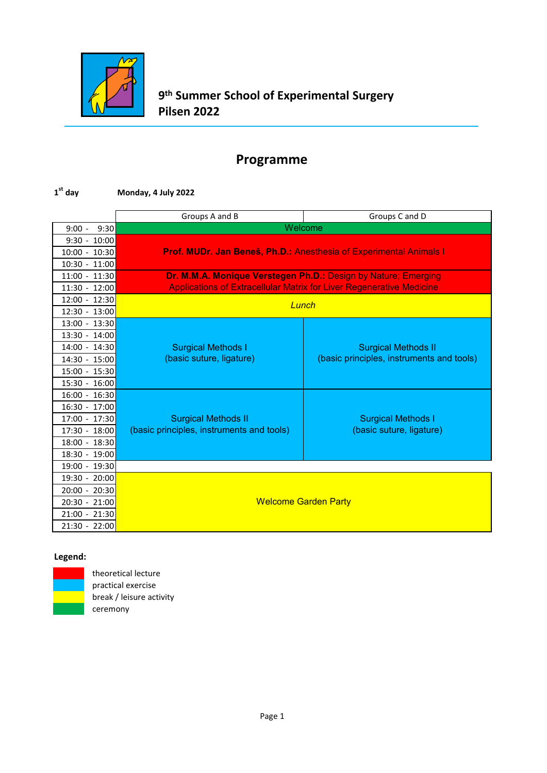

#### **1st day Monday, 4 July 2022**

|                  | Groups A and B                                                 | Groups C and D                                                              |
|------------------|----------------------------------------------------------------|-----------------------------------------------------------------------------|
| $9:00 -$<br>9:30 | Welcome                                                        |                                                                             |
| $9:30 - 10:00$   |                                                                |                                                                             |
| $10:00 - 10:30$  |                                                                | Prof. MUDr. Jan Beneš, Ph.D.: Anesthesia of Experimental Animals I          |
| $10:30 - 11:00$  |                                                                |                                                                             |
| $11:00 - 11:30$  | Dr. M.M.A. Monique Verstegen Ph.D.: Design by Nature; Emerging |                                                                             |
| $11:30 - 12:00$  |                                                                | <b>Applications of Extracellular Matrix for Liver Regenerative Medicine</b> |
| 12:00 - 12:30    | Lunch                                                          |                                                                             |
| 12:30 - 13:00    |                                                                |                                                                             |
| 13:00 - 13:30    |                                                                |                                                                             |
| $13:30 - 14:00$  |                                                                |                                                                             |
| 14:00 - 14:30    | <b>Surgical Methods I</b>                                      | <b>Surgical Methods II</b>                                                  |
| 14:30 - 15:00    | (basic suture, ligature)                                       | (basic principles, instruments and tools)                                   |
| 15:00 - 15:30    |                                                                |                                                                             |
| $15:30 - 16:00$  |                                                                |                                                                             |
| 16:00 - 16:30    |                                                                |                                                                             |
| 16:30 - 17:00    |                                                                |                                                                             |
| 17:00 - 17:30    | <b>Surgical Methods II</b>                                     | <b>Surgical Methods I</b>                                                   |
| 17:30 - 18:00    | (basic principles, instruments and tools)                      | (basic suture, ligature)                                                    |
| 18:00 - 18:30    |                                                                |                                                                             |
| 18:30 - 19:00    |                                                                |                                                                             |
| 19:00 - 19:30    |                                                                |                                                                             |
| 19:30 - 20:00    |                                                                |                                                                             |
| 20:00 - 20:30    |                                                                |                                                                             |
| 20:30 - 21:00    | <b>Welcome Garden Party</b>                                    |                                                                             |
| 21:00 - 21:30    |                                                                |                                                                             |
| 21:30 - 22:00    |                                                                |                                                                             |

#### **Legend:**



theoretical lecture practical exercise break / leisure activity ceremony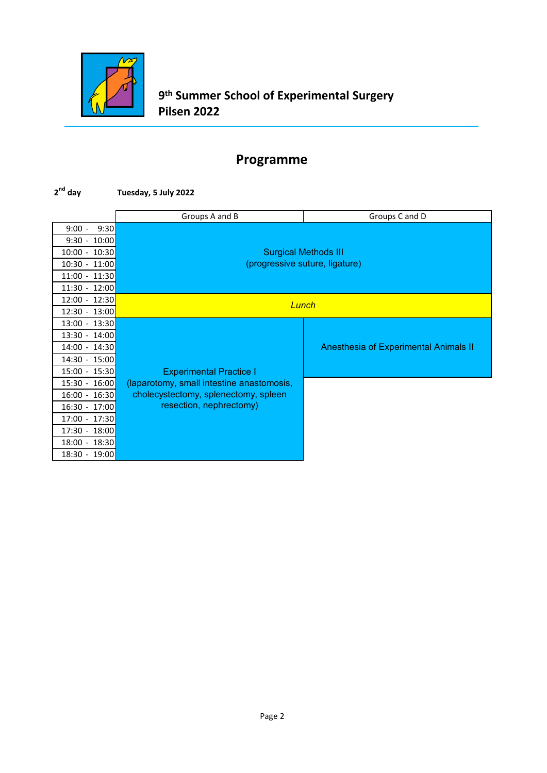

#### **2nd day Tuesday, 5 July 2022**

|                   | Groups A and B                            | Groups C and D                        |
|-------------------|-------------------------------------------|---------------------------------------|
| 9:30<br>$9:00 -$  |                                           |                                       |
| 10:00<br>$9:30 -$ |                                           |                                       |
| 10:00 - 10:30     |                                           | <b>Surgical Methods III</b>           |
| 10:30 - 11:00     |                                           | (progressive suture, ligature)        |
| $11:00 - 11:30$   |                                           |                                       |
| 11:30 - 12:00     |                                           |                                       |
| 12:00 - 12:30     | Lunch                                     |                                       |
| 12:30 - 13:00     |                                           |                                       |
| 13:00 - 13:30     |                                           |                                       |
| 13:30 - 14:00     |                                           |                                       |
| 14:00 - 14:30     |                                           | Anesthesia of Experimental Animals II |
| 14:30 - 15:00     |                                           |                                       |
| 15:00 - 15:30     | <b>Experimental Practice I</b>            |                                       |
| 15:30 - 16:00     | (laparotomy, small intestine anastomosis, |                                       |
| $16:00 - 16:30$   | cholecystectomy, splenectomy, spleen      |                                       |
| $16:30 - 17:00$   | resection, nephrectomy)                   |                                       |
| 17:00 - 17:30     |                                           |                                       |
| 17:30 - 18:00     |                                           |                                       |
| 18:00 - 18:30     |                                           |                                       |
| 18:30 - 19:00     |                                           |                                       |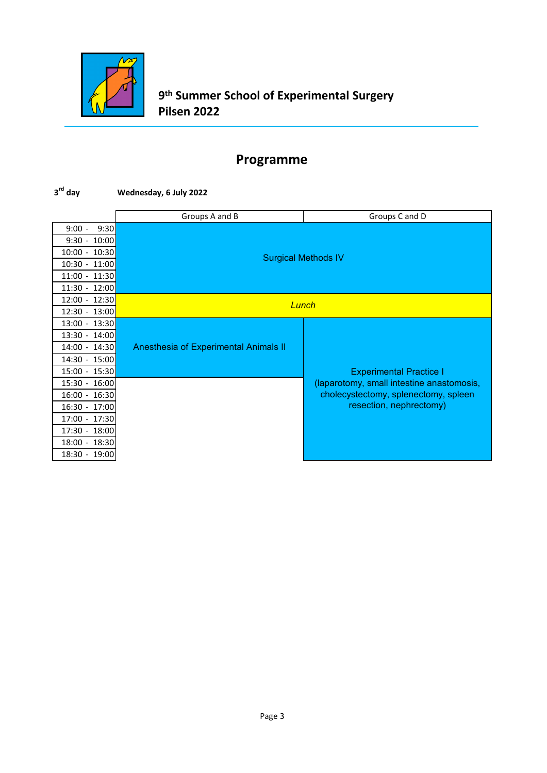

#### **3rd day Wednesday, 6 July 2022**

|                    | Groups A and B                        | Groups C and D                            |
|--------------------|---------------------------------------|-------------------------------------------|
| $9:00 -$<br>9:30   |                                       |                                           |
| 10:00<br>$9:30 -$  |                                       |                                           |
| 10:30<br>$10:00 -$ | <b>Surgical Methods IV</b>            |                                           |
| 10:30 - 11:00      |                                       |                                           |
| 11:00 - 11:30      |                                       |                                           |
| 11:30 - 12:00      |                                       |                                           |
| 12:00 - 12:30      |                                       | Lunch                                     |
| 12:30 - 13:00      |                                       |                                           |
| 13:00 - 13:30      |                                       |                                           |
| 13:30 - 14:00      |                                       |                                           |
| 14:00 - 14:30      | Anesthesia of Experimental Animals II |                                           |
| 14:30 - 15:00      |                                       |                                           |
| 15:00 - 15:30      |                                       | <b>Experimental Practice I</b>            |
| 15:30 - 16:00      |                                       | (laparotomy, small intestine anastomosis, |
| 16:00 - 16:30      |                                       | cholecystectomy, splenectomy, spleen      |
| 16:30 - 17:00      |                                       | resection, nephrectomy)                   |
| 17:00 - 17:30      |                                       |                                           |
| 17:30 - 18:00      |                                       |                                           |
| 18:00 - 18:30      |                                       |                                           |
| 18:30 - 19:00      |                                       |                                           |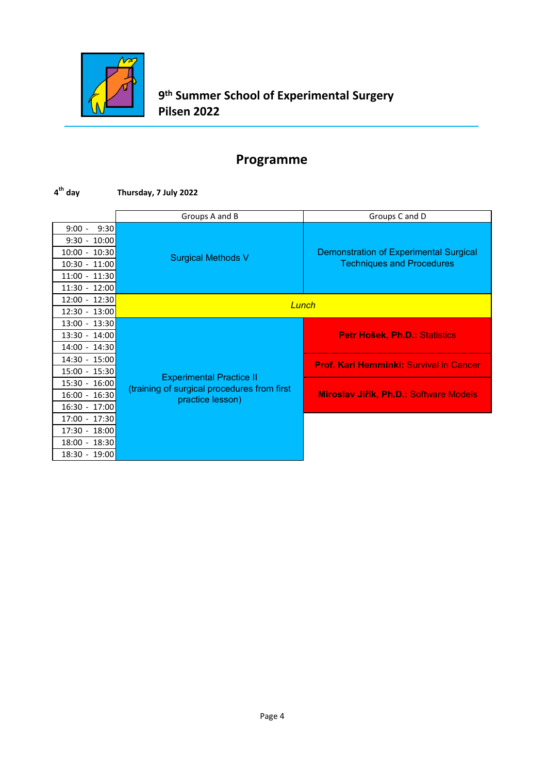

### **4th day Thursday, 7 July 2022**

|                 | Groups A and B                                                  | Groups C and D                                 |
|-----------------|-----------------------------------------------------------------|------------------------------------------------|
| $9:00 - 9:30$   |                                                                 |                                                |
| $9:30 - 10:00$  |                                                                 |                                                |
| $10:00 - 10:30$ | <b>Surgical Methods V</b>                                       | <b>Demonstration of Experimental Surgical</b>  |
| 10:30 - 11:00   |                                                                 | <b>Techniques and Procedures</b>               |
| 11:00 - 11:30   |                                                                 |                                                |
| $11:30 - 12:00$ |                                                                 |                                                |
| 12:00 - 12:30   | Lunch                                                           |                                                |
| 12:30 - 13:00   |                                                                 |                                                |
| 13:00 - 13:30   |                                                                 |                                                |
| 13:30 - 14:00   |                                                                 | <b>Petr Hošek, Ph.D.: Statistics</b>           |
| 14:00 - 14:30   |                                                                 |                                                |
| 14:30 - 15:00   |                                                                 | <b>Prof. Kari Hemminki: Survival in Cancer</b> |
| 15:00 - 15:30   | <b>Experimental Practice II</b>                                 |                                                |
| 15:30 - 16:00   | (training of surgical procedures from first<br>practice lesson) |                                                |
| $16:00 - 16:30$ |                                                                 | Miroslav Jiřík, Ph.D.: Software Models         |
| 16:30 - 17:00   |                                                                 |                                                |
| 17:00 - 17:30   |                                                                 |                                                |
| 17:30 - 18:00   |                                                                 |                                                |
| 18:00 - 18:30   |                                                                 |                                                |
| 18:30 - 19:00   |                                                                 |                                                |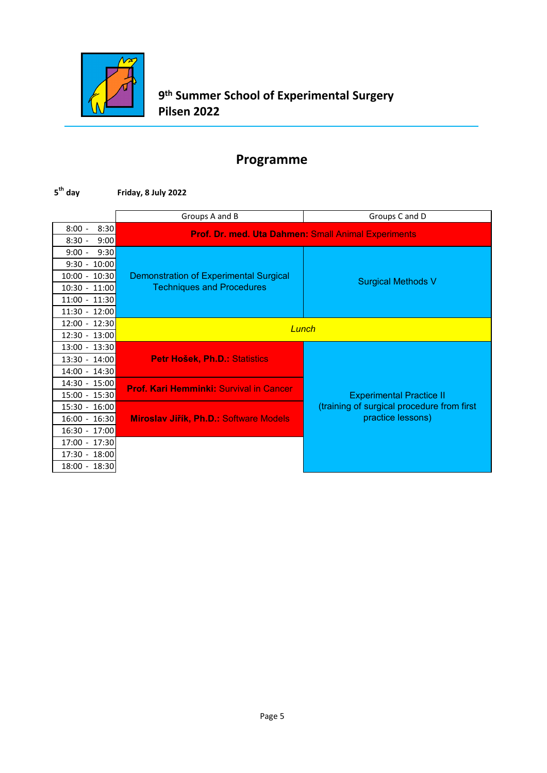

#### **5th day Friday, 8 July 2022**

|                  | Groups A and B                                             | Groups C and D                             |
|------------------|------------------------------------------------------------|--------------------------------------------|
| $8:00 -$<br>8:30 | <b>Prof. Dr. med. Uta Dahmen: Small Animal Experiments</b> |                                            |
| 9:00<br>$8:30 -$ |                                                            |                                            |
| 9:30<br>$9:00 -$ |                                                            |                                            |
| $9:30 - 10:00$   |                                                            |                                            |
| $10:00 - 10:30$  | <b>Demonstration of Experimental Surgical</b>              | <b>Surgical Methods V</b>                  |
| 10:30 - 11:00    | <b>Techniques and Procedures</b>                           |                                            |
| 11:00 - 11:30    |                                                            |                                            |
| 11:30 - 12:00    |                                                            |                                            |
| 12:00 - 12:30    | Lunch                                                      |                                            |
| 12:30 - 13:00    |                                                            |                                            |
| 13:00 - 13:30    |                                                            |                                            |
| 13:30 - 14:00    | Petr Hošek, Ph.D.: Statistics                              |                                            |
| 14:00 - 14:30    |                                                            |                                            |
| 14:30 - 15:00    | <b>Prof. Kari Hemminki: Survival in Cancer</b>             |                                            |
| 15:00 - 15:30    |                                                            | <b>Experimental Practice II</b>            |
| 15:30 - 16:00    |                                                            | (training of surgical procedure from first |
| $16:00 - 16:30$  | Miroslav Jiřík, Ph.D.: Software Models                     | practice lessons)                          |
| 16:30 - 17:00    |                                                            |                                            |
| 17:00 - 17:30    |                                                            |                                            |
| 17:30 - 18:00    |                                                            |                                            |
| 18:00 - 18:30    |                                                            |                                            |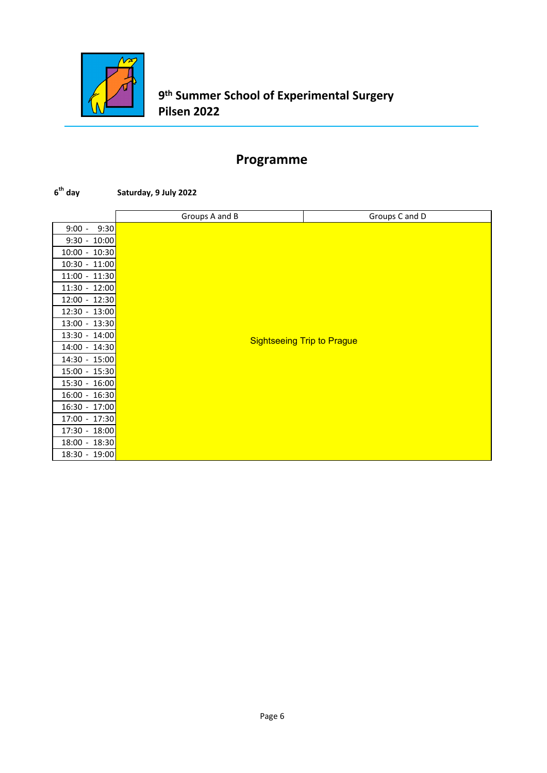

#### **6th day Saturday, 9 July 2022**

|                  | Groups A and B | Groups C and D                    |
|------------------|----------------|-----------------------------------|
| 9:30<br>$9:00 -$ |                |                                   |
| $9:30 - 10:00$   |                |                                   |
| 10:00 - 10:30    |                |                                   |
| $10:30 - 11:00$  |                |                                   |
| $11:00 - 11:30$  |                |                                   |
| 11:30 - 12:00    |                |                                   |
| 12:00 - 12:30    |                |                                   |
| $12:30 - 13:00$  |                |                                   |
| $13:00 - 13:30$  |                |                                   |
| 13:30 - 14:00    |                | <b>Sightseeing Trip to Prague</b> |
| 14:00 - 14:30    |                |                                   |
| $14:30 - 15:00$  |                |                                   |
| $15:00 - 15:30$  |                |                                   |
| 15:30 - 16:00    |                |                                   |
| $16:00 - 16:30$  |                |                                   |
| $16:30 - 17:00$  |                |                                   |
| 17:00 - 17:30    |                |                                   |
| 17:30 - 18:00    |                |                                   |
| 18:00 - 18:30    |                |                                   |
| 18:30 - 19:00    |                |                                   |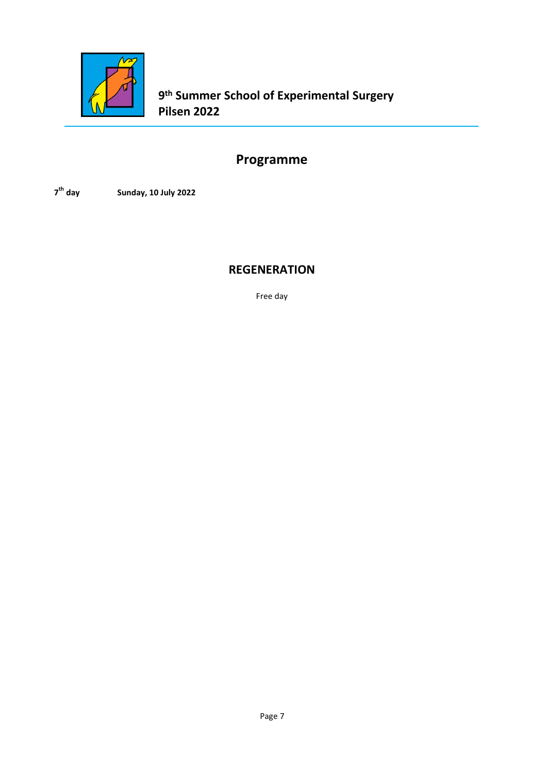

**9th Summer School of Experimental Surgery Pilsen 2022**

# **Programme**

**7th day Sunday, 10 July 2022**

#### **REGENERATION**

Free day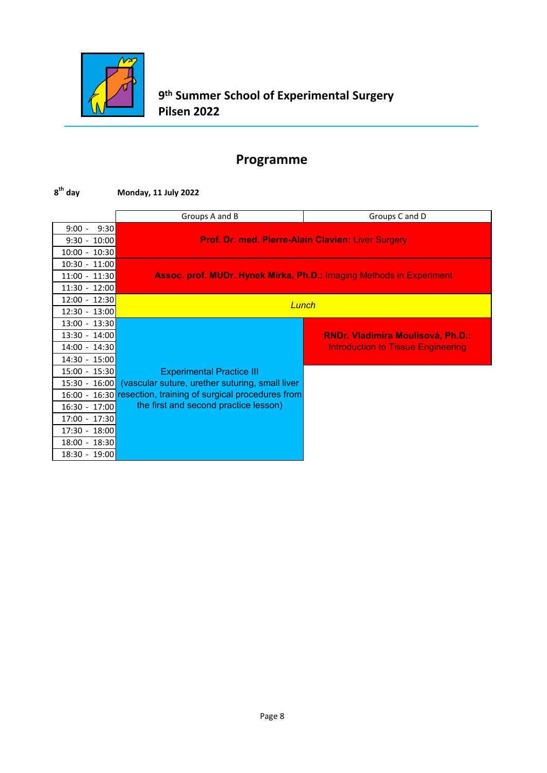

#### **8th day Monday, 11 July 2022**

|                    | Groups A and B                                            | Groups C and D                                                              |
|--------------------|-----------------------------------------------------------|-----------------------------------------------------------------------------|
| 9:30<br>$9:00 -$   |                                                           |                                                                             |
| $9:30 - 10:00$     | <b>Prof. Dr. med. Pierre-Alain Clavien: Liver Surgery</b> |                                                                             |
| 10:00 - 10:30      |                                                           |                                                                             |
| 10:30 - 11:00      |                                                           |                                                                             |
| $11:00 - 11:30$    |                                                           | <b>Assoc. prof. MUDr. Hynek Mírka, Ph.D.: Imaging Methods in Experiment</b> |
| 11:30 - 12:00      |                                                           |                                                                             |
| 12:00 - 12:30      | Lunch                                                     |                                                                             |
| 12:30 - 13:00      |                                                           |                                                                             |
| 13:00 - 13:30      |                                                           |                                                                             |
| 13:30 - 14:00      |                                                           | <b>RNDr. Vladimíra Moulisová, Ph.D.:</b>                                    |
| 14:00 - 14:30      |                                                           | <b>Introduction to Tissue Engineering</b>                                   |
| 14:30 - 15:00      |                                                           |                                                                             |
| $15:00 - 15:30$    | <b>Experimental Practice III</b>                          |                                                                             |
| $15:30 - 16:00$    | (vascular suture, urether suturing, small liver           |                                                                             |
| $16:00 -$          | 16:30 resection, training of surgical procedures from     |                                                                             |
| 16:30 - 17:00      | the first and second practice lesson)                     |                                                                             |
| $17:00 -$<br>17:30 |                                                           |                                                                             |
| 17:30 - 18:00      |                                                           |                                                                             |
| 18:00 - 18:30      |                                                           |                                                                             |
| 18:30 - 19:00      |                                                           |                                                                             |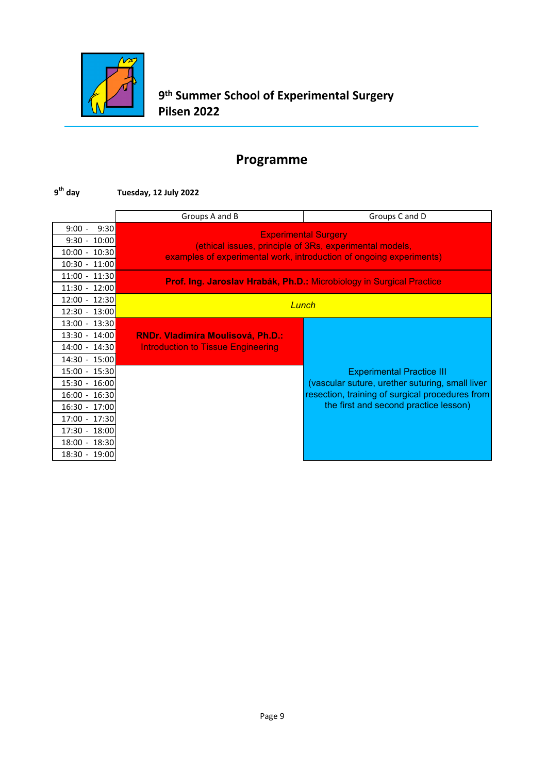

#### **9th day Tuesday, 12 July 2022**

|                 | Groups A and B                            | Groups C and D                                                                         |
|-----------------|-------------------------------------------|----------------------------------------------------------------------------------------|
| $9:00 - 9:30$   |                                           |                                                                                        |
| $9:30 - 10:00$  |                                           | <b>Experimental Surgery</b><br>(ethical issues, principle of 3Rs, experimental models, |
| $10:00 - 10:30$ |                                           | examples of experimental work, introduction of ongoing experiments)                    |
| $10:30 - 11:00$ |                                           |                                                                                        |
| $11:00 - 11:30$ |                                           | Prof. Ing. Jaroslav Hrabák, Ph.D.: Microbiology in Surgical Practice                   |
| 11:30 - 12:00   |                                           |                                                                                        |
| 12:00 - 12:30   | Lunch                                     |                                                                                        |
| 12:30 - 13:00   |                                           |                                                                                        |
| $13:00 - 13:30$ |                                           |                                                                                        |
| 13:30 - 14:00   | <b>RNDr. Vladimíra Moulisová, Ph.D.:</b>  |                                                                                        |
| 14:00 - 14:30   | <b>Introduction to Tissue Engineering</b> |                                                                                        |
| 14:30 - 15:00   |                                           |                                                                                        |
| 15:00 - 15:30   |                                           | <b>Experimental Practice III</b>                                                       |
| 15:30 - 16:00   |                                           | (vascular suture, urether suturing, small liver                                        |
| $16:00 - 16:30$ |                                           | resection, training of surgical procedures from                                        |
| 16:30 - 17:00   |                                           | the first and second practice lesson)                                                  |
| 17:00 - 17:30   |                                           |                                                                                        |
| 17:30 - 18:00   |                                           |                                                                                        |
| 18:00 - 18:30   |                                           |                                                                                        |
| 18:30 - 19:00   |                                           |                                                                                        |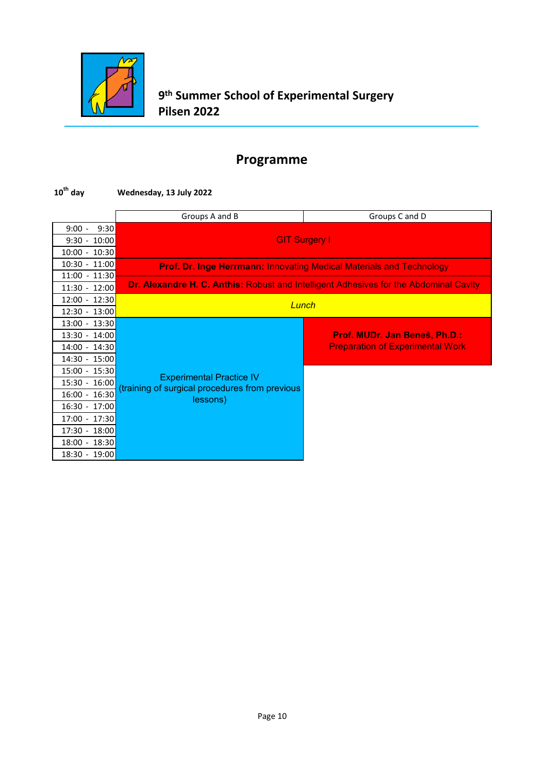

### **10th day Wednesday, 13 July 2022**

|                    | Groups A and B                                                                        | Groups C and D                                                              |  |
|--------------------|---------------------------------------------------------------------------------------|-----------------------------------------------------------------------------|--|
| 9:30<br>$9:00 -$   |                                                                                       |                                                                             |  |
| $9:30 - 10:00$     | <b>GIT Surgery I</b>                                                                  |                                                                             |  |
| $10:00 - 10:30$    |                                                                                       |                                                                             |  |
| $10:30 - 11:00$    |                                                                                       | <b>Prof. Dr. Inge Herrmann: Innovating Medical Materials and Technology</b> |  |
| 11:00 - 11:30      |                                                                                       |                                                                             |  |
| $11:30 - 12:00$    | Dr. Alexandre H. C. Anthis: Robust and Intelligent Adhesives for the Abdominal Cavity |                                                                             |  |
| $12:00 - 12:30$    | Lunch                                                                                 |                                                                             |  |
| $12:30 - 13:00$    |                                                                                       |                                                                             |  |
| 13:00 - 13:30      |                                                                                       |                                                                             |  |
| 13:30 - 14:00      |                                                                                       | Prof. MUDr. Jan Beneš, Ph.D.:                                               |  |
| 14:00 - 14:30      |                                                                                       | <b>Preparation of Experimental Work</b>                                     |  |
| 14:30 - 15:00      |                                                                                       |                                                                             |  |
| 15:00 - 15:30      | <b>Experimental Practice IV</b>                                                       |                                                                             |  |
| 15:30 - 16:00      | (training of surgical procedures from previous                                        |                                                                             |  |
| 16:30<br>$16:00 -$ | lessons)                                                                              |                                                                             |  |
| 16:30 - 17:00      |                                                                                       |                                                                             |  |
| 17:00 - 17:30      |                                                                                       |                                                                             |  |
| 17:30 - 18:00      |                                                                                       |                                                                             |  |
| 18:00 - 18:30      |                                                                                       |                                                                             |  |
| 18:30 - 19:00      |                                                                                       |                                                                             |  |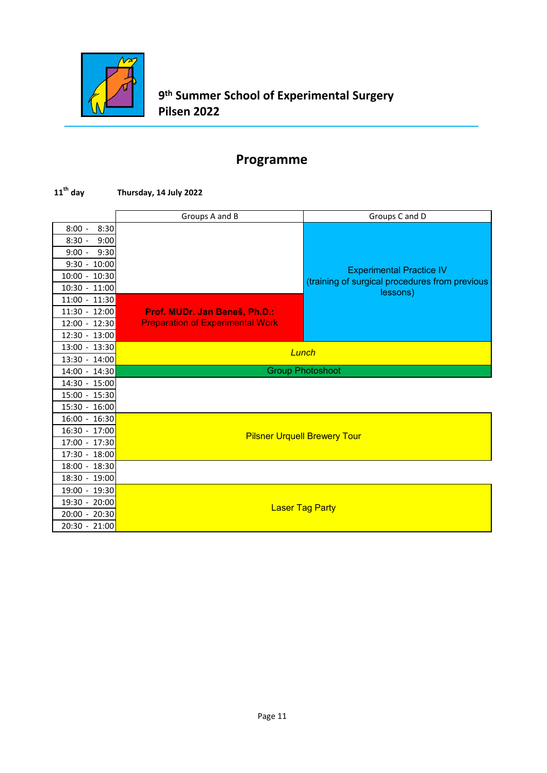

#### **11th day Thursday, 14 July 2022**

|                  | Groups A and B                          | Groups C and D                                             |  |
|------------------|-----------------------------------------|------------------------------------------------------------|--|
| $8:00 -$<br>8:30 |                                         |                                                            |  |
| 9:00<br>$8:30 -$ |                                         |                                                            |  |
| 9:30<br>$9:00 -$ |                                         |                                                            |  |
| $9:30 - 10:00$   |                                         |                                                            |  |
| 10:00 - 10:30    |                                         | <b>Experimental Practice IV</b>                            |  |
| $10:30 - 11:00$  |                                         | (training of surgical procedures from previous<br>lessons) |  |
| $11:00 - 11:30$  |                                         |                                                            |  |
| $11:30 - 12:00$  | Prof. MUDr. Jan Beneš, Ph.D.:           |                                                            |  |
| $12:00 - 12:30$  | <b>Preparation of Experimental Work</b> |                                                            |  |
| $12:30 - 13:00$  |                                         |                                                            |  |
| 13:00 - 13:30    |                                         | Lunch                                                      |  |
| 13:30 - 14:00    |                                         |                                                            |  |
| 14:00 - 14:30    |                                         | <b>Group Photoshoot</b>                                    |  |
| 14:30 - 15:00    |                                         |                                                            |  |
| 15:00 - 15:30    |                                         |                                                            |  |
| 15:30 - 16:00    |                                         |                                                            |  |
| 16:00 - 16:30    |                                         |                                                            |  |
| 16:30 - 17:00    |                                         |                                                            |  |
| 17:00 - 17:30    |                                         | <b>Pilsner Urquell Brewery Tour</b>                        |  |
| 17:30 - 18:00    |                                         |                                                            |  |
| 18:00 - 18:30    |                                         |                                                            |  |
| 18:30 - 19:00    |                                         |                                                            |  |
| 19:00 - 19:30    |                                         |                                                            |  |
| 19:30 - 20:00    |                                         |                                                            |  |
| 20:00 - 20:30    |                                         | <b>Laser Tag Party</b>                                     |  |
| $20:30 - 21:00$  |                                         |                                                            |  |